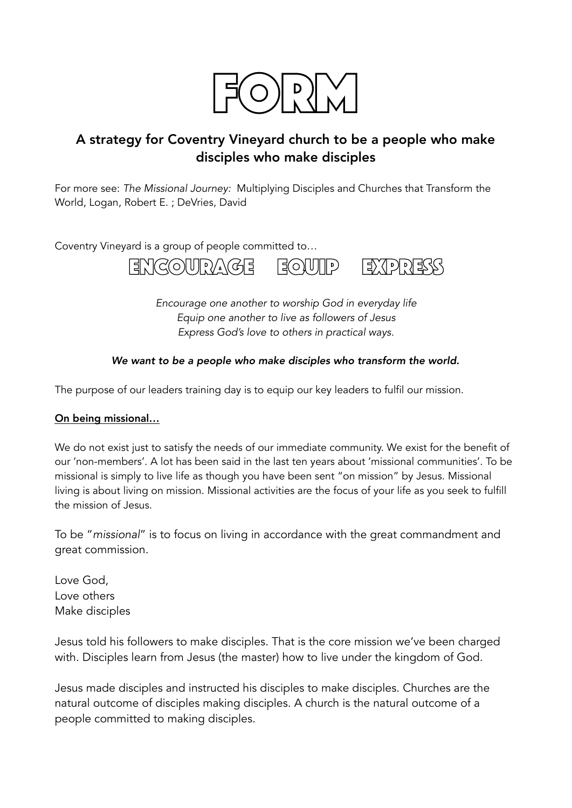

# A strategy for Coventry Vineyard church to be a people who make disciples who make disciples

For more see: *The Missional Journey:* Multiplying Disciples and Churches that Transform the World, Logan, Robert E. ; DeVries, David

Coventry Vineyard is a group of people committed to…



*Encourage one another to worship God in everyday life Equip one another to live as followers of Jesus Express God's love to others in practical ways.* 

# *We want to be a people who make disciples who transform the world.*

The purpose of our leaders training day is to equip our key leaders to fulfil our mission.

#### On being missional…

We do not exist just to satisfy the needs of our immediate community. We exist for the benefit of our 'non-members'. A lot has been said in the last ten years about 'missional communities'. To be missional is simply to live life as though you have been sent "on mission" by Jesus. Missional living is about living on mission. Missional activities are the focus of your life as you seek to fulfill the mission of Jesus.

To be "*missional*" is to focus on living in accordance with the great commandment and great commission.

Love God, Love others Make disciples

Jesus told his followers to make disciples. That is the core mission we've been charged with. Disciples learn from Jesus (the master) how to live under the kingdom of God.

Jesus made disciples and instructed his disciples to make disciples. Churches are the natural outcome of disciples making disciples. A church is the natural outcome of a people committed to making disciples.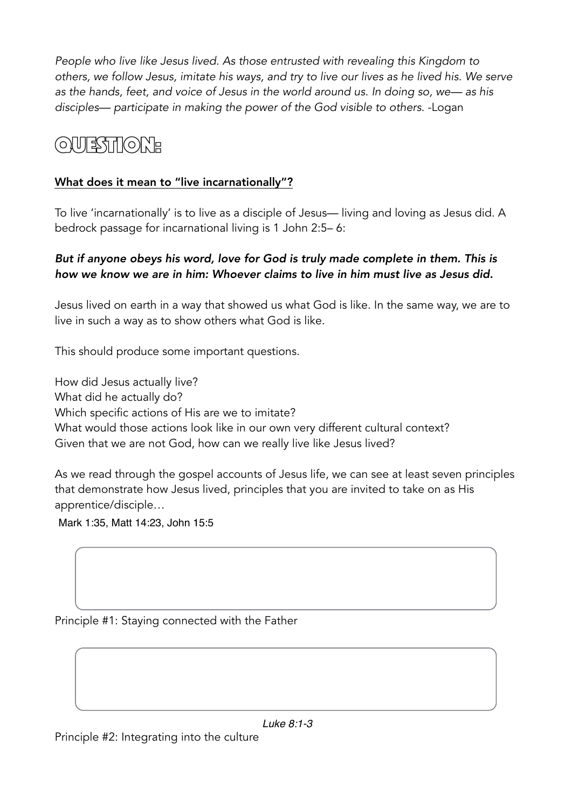*People who live like Jesus lived. As those entrusted with revealing this Kingdom to others, we follow Jesus, imitate his ways, and try to live our lives as he lived his. We serve as the hands, feet, and voice of Jesus in the world around us. In doing so, we— as his disciples— participate in making the power of the God visible to others*. -Logan

# QUESTION:

# What does it mean to "live incarnationally"?

To live 'incarnationally' is to live as a disciple of Jesus— living and loving as Jesus did. A bedrock passage for incarnational living is 1 John 2:5– 6:

# *But if anyone obeys his word, love for God is truly made complete in them. This is how we know we are in him: Whoever claims to live in him must live as Jesus did.*

Jesus lived on earth in a way that showed us what God is like. In the same way, we are to live in such a way as to show others what God is like.

This should produce some important questions.

How did Jesus actually live? What did he actually do? Which specific actions of His are we to imitate? What would those actions look like in our own very different cultural context? Given that we are not God, how can we really live like Jesus lived?

As we read through the gospel accounts of Jesus life, we can see at least seven principles that demonstrate how Jesus lived, principles that you are invited to take on as His apprentice/disciple…

Mark 1:35, Matt 14:23, John 15:5

Principle #1: Staying connected with the Father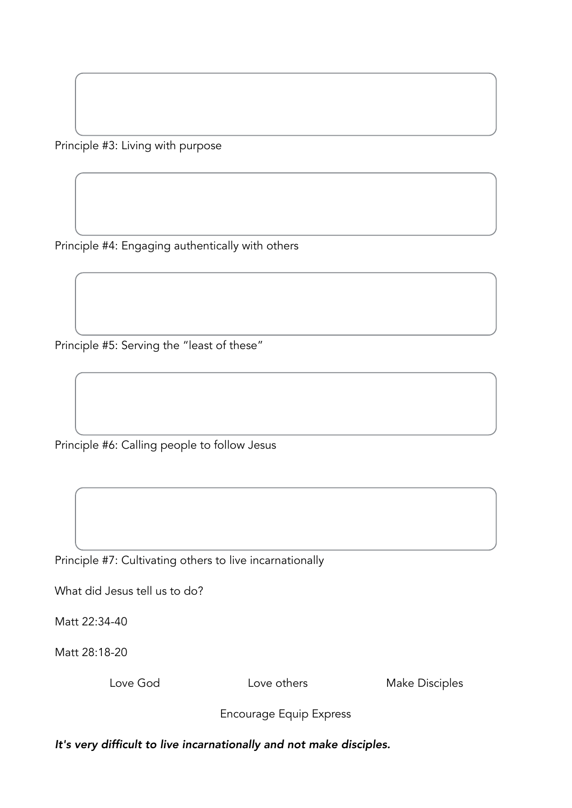Principle #3: Living with purpose

Principle #4: Engaging authentically with others

Principle #5: Serving the "least of these"

Principle #6: Calling people to follow Jesus

Principle #7: Cultivating others to live incarnationally

What did Jesus tell us to do?

Matt 22:34-40

Matt 28:18-20

Love God Love others Make Disciples

Encourage Equip Express

*It's very difficult to live incarnationally and not make disciples.*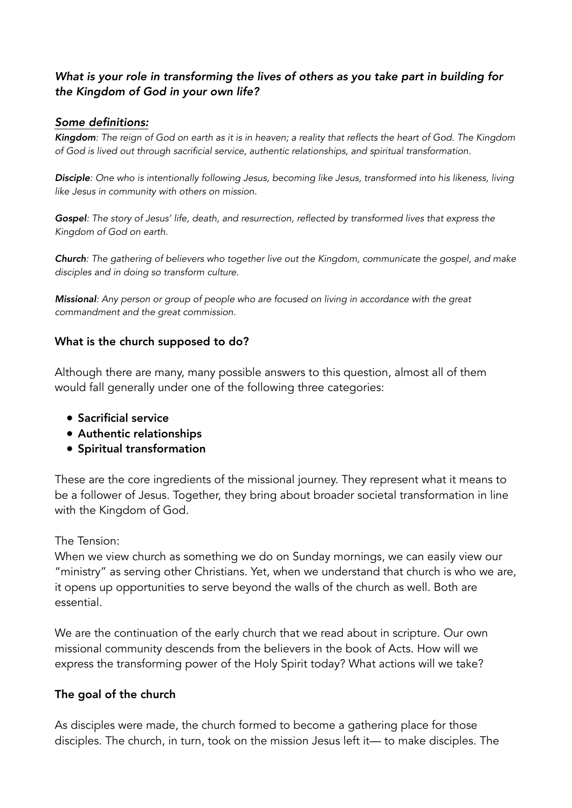# *What is your role in transforming the lives of others as you take part in building for the Kingdom of God in your own life?*

#### *Some definitions:*

*Kingdom: The reign of God on earth as it is in heaven; a reality that reflects the heart of God. The Kingdom of God is lived out through sacrificial service, authentic relationships, and spiritual transformation.*

*Disciple: One who is intentionally following Jesus, becoming like Jesus, transformed into his likeness, living like Jesus in community with others on mission.*

*Gospel: The story of Jesus' life, death, and resurrection, reflected by transformed lives that express the Kingdom of God on earth.*

*Church: The gathering of believers who together live out the Kingdom, communicate the gospel, and make disciples and in doing so transform culture.*

*Missional: Any person or group of people who are focused on living in accordance with the great commandment and the great commission.* 

### What is the church supposed to do?

Although there are many, many possible answers to this question, almost all of them would fall generally under one of the following three categories:

- Sacrificial service
- Authentic relationships
- Spiritual transformation

These are the core ingredients of the missional journey. They represent what it means to be a follower of Jesus. Together, they bring about broader societal transformation in line with the Kingdom of God.

#### The Tension:

When we view church as something we do on Sunday mornings, we can easily view our "ministry" as serving other Christians. Yet, when we understand that church is who we are, it opens up opportunities to serve beyond the walls of the church as well. Both are essential.

We are the continuation of the early church that we read about in scripture. Our own missional community descends from the believers in the book of Acts. How will we express the transforming power of the Holy Spirit today? What actions will we take?

# The goal of the church

As disciples were made, the church formed to become a gathering place for those disciples. The church, in turn, took on the mission Jesus left it— to make disciples. The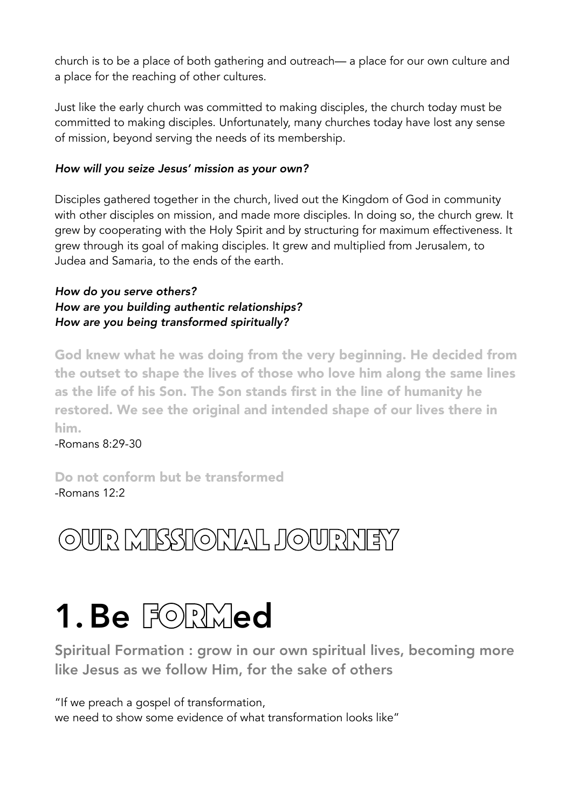church is to be a place of both gathering and outreach— a place for our own culture and a place for the reaching of other cultures.

Just like the early church was committed to making disciples, the church today must be committed to making disciples. Unfortunately, many churches today have lost any sense of mission, beyond serving the needs of its membership.

# *How will you seize Jesus' mission as your own?*

Disciples gathered together in the church, lived out the Kingdom of God in community with other disciples on mission, and made more disciples. In doing so, the church grew. It grew by cooperating with the Holy Spirit and by structuring for maximum effectiveness. It grew through its goal of making disciples. It grew and multiplied from Jerusalem, to Judea and Samaria, to the ends of the earth.

# *How do you serve others? How are you building authentic relationships? How are you being transformed spiritually?*

God knew what he was doing from the very beginning. He decided from the outset to shape the lives of those who love him along the same lines as the life of his Son. The Son stands first in the line of humanity he restored. We see the original and intended shape of our lives there in him.

-Romans 8:29-30

Do not conform but be transformed -Romans 12:2

# Our Missional Journey

# **1. Be FORMed**<br>Spiritual Formation : grow in our own spiritual lives, becoming more

like Jesus as we follow Him, for the sake of others

"If we preach a gospel of transformation, we need to show some evidence of what transformation looks like"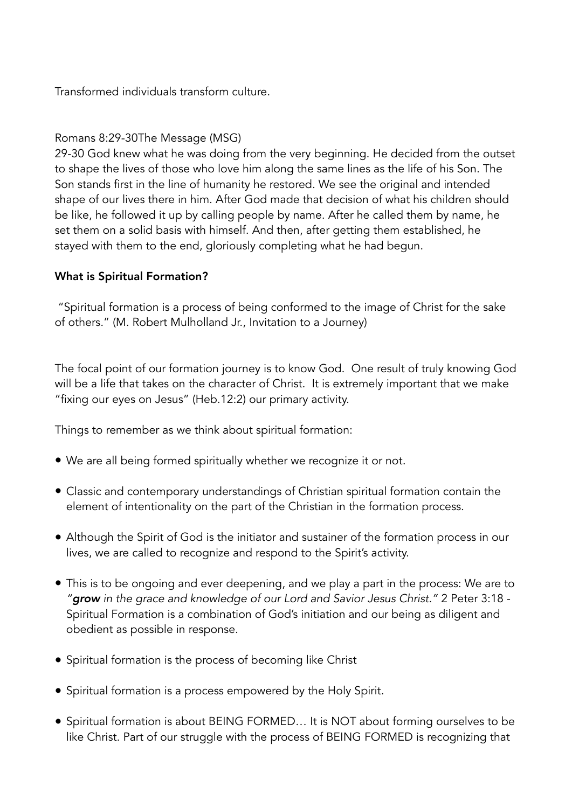Transformed individuals transform culture.

# Romans 8:29-30The Message (MSG)

29-30 God knew what he was doing from the very beginning. He decided from the outset to shape the lives of those who love him along the same lines as the life of his Son. The Son stands first in the line of humanity he restored. We see the original and intended shape of our lives there in him. After God made that decision of what his children should be like, he followed it up by calling people by name. After he called them by name, he set them on a solid basis with himself. And then, after getting them established, he stayed with them to the end, gloriously completing what he had begun.

# What is Spiritual Formation?

 "Spiritual formation is a process of being conformed to the image of Christ for the sake of others." (M. Robert Mulholland Jr., Invitation to a Journey)

The focal point of our formation journey is to know God. One result of truly knowing God will be a life that takes on the character of Christ. It is extremely important that we make "fixing our eyes on Jesus" (Heb.12:2) our primary activity.

Things to remember as we think about spiritual formation:

- We are all being formed spiritually whether we recognize it or not.
- Classic and contemporary understandings of Christian spiritual formation contain the element of intentionality on the part of the Christian in the formation process.
- Although the Spirit of God is the initiator and sustainer of the formation process in our lives, we are called to recognize and respond to the Spirit's activity.
- This is to be ongoing and ever deepening, and we play a part in the process: We are to *"grow in the grace and knowledge of our Lord and Savior Jesus Christ."* 2 Peter 3:18 - Spiritual Formation is a combination of God's initiation and our being as diligent and obedient as possible in response.
- Spiritual formation is the process of becoming like Christ
- Spiritual formation is a process empowered by the Holy Spirit.
- Spiritual formation is about BEING FORMED… It is NOT about forming ourselves to be like Christ. Part of our struggle with the process of BEING FORMED is recognizing that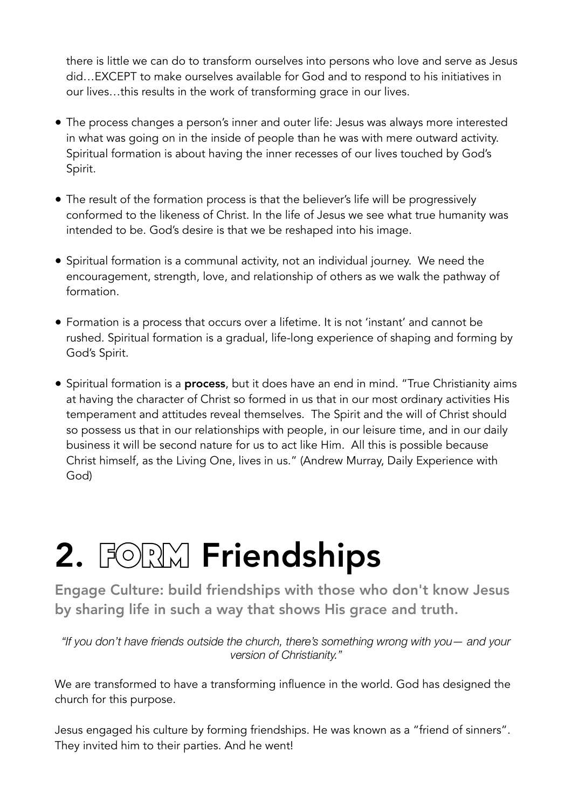there is little we can do to transform ourselves into persons who love and serve as Jesus did…EXCEPT to make ourselves available for God and to respond to his initiatives in our lives…this results in the work of transforming grace in our lives.

- The process changes a person's inner and outer life: Jesus was always more interested in what was going on in the inside of people than he was with mere outward activity. Spiritual formation is about having the inner recesses of our lives touched by God's Spirit.
- The result of the formation process is that the believer's life will be progressively conformed to the likeness of Christ. In the life of Jesus we see what true humanity was intended to be. God's desire is that we be reshaped into his image.
- Spiritual formation is a communal activity, not an individual journey. We need the encouragement, strength, love, and relationship of others as we walk the pathway of formation.
- Formation is a process that occurs over a lifetime. It is not 'instant' and cannot be rushed. Spiritual formation is a gradual, life-long experience of shaping and forming by God's Spirit.
- Spiritual formation is a **process**, but it does have an end in mind. "True Christianity aims at having the character of Christ so formed in us that in our most ordinary activities His temperament and attitudes reveal themselves. The Spirit and the will of Christ should so possess us that in our relationships with people, in our leisure time, and in our daily business it will be second nature for us to act like Him. All this is possible because Christ himself, as the Living One, lives in us." (Andrew Murray, Daily Experience with God)

# 2. FORMFriendships

Engage Culture: build friendships with those who don't know Jesus by sharing life in such a way that shows His grace and truth.

*"If you don't have friends outside the church, there's something wrong with you— and your version of Christianity."*

We are transformed to have a transforming influence in the world. God has designed the church for this purpose.

Jesus engaged his culture by forming friendships. He was known as a "friend of sinners". They invited him to their parties. And he went!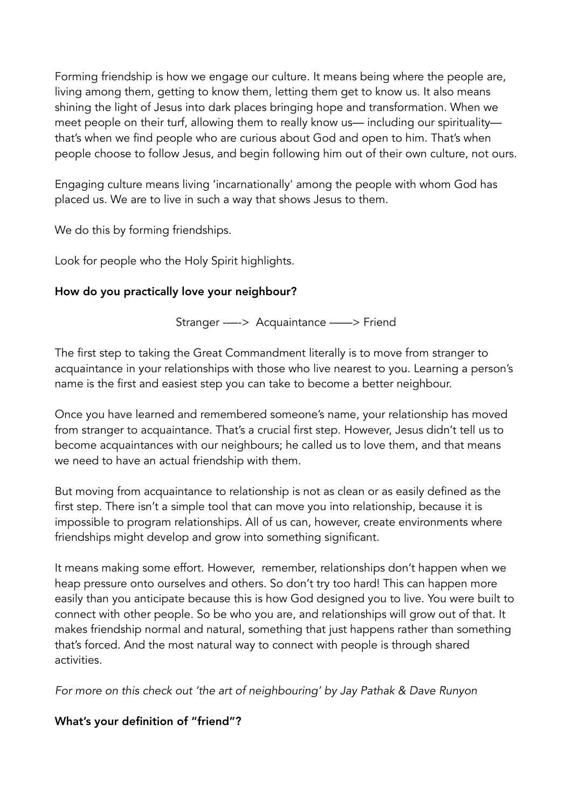Forming friendship is how we engage our culture. It means being where the people are, living among them, getting to know them, letting them get to know us. It also means shining the light of Jesus into dark places bringing hope and transformation. When we meet people on their turf, allowing them to really know us— including our spirituality that's when we find people who are curious about God and open to him. That's when people choose to follow Jesus, and begin following him out of their own culture, not ours.

Engaging culture means living 'incarnationally' among the people with whom God has placed us. We are to live in such a way that shows Jesus to them.

We do this by forming friendships.

Look for people who the Holy Spirit highlights.

# How do you practically love your neighbour?

Stranger -—-> Acquaintance ——> Friend

The first step to taking the Great Commandment literally is to move from stranger to acquaintance in your relationships with those who live nearest to you. Learning a person's name is the first and easiest step you can take to become a better neighbour.

Once you have learned and remembered someone's name, your relationship has moved from stranger to acquaintance. That's a crucial first step. However, Jesus didn't tell us to become acquaintances with our neighbours; he called us to love them, and that means we need to have an actual friendship with them.

But moving from acquaintance to relationship is not as clean or as easily defined as the first step. There isn't a simple tool that can move you into relationship, because it is impossible to program relationships. All of us can, however, create environments where friendships might develop and grow into something significant.

It means making some effort. However, remember, relationships don't happen when we heap pressure onto ourselves and others. So don't try too hard! This can happen more easily than you anticipate because this is how God designed you to live. You were built to connect with other people. So be who you are, and relationships will grow out of that. It makes friendship normal and natural, something that just happens rather than something that's forced. And the most natural way to connect with people is through shared activities.

*For more on this check out 'the art of neighbouring' by Jay Pathak & Dave Runyon* 

# What's your definition of "friend"?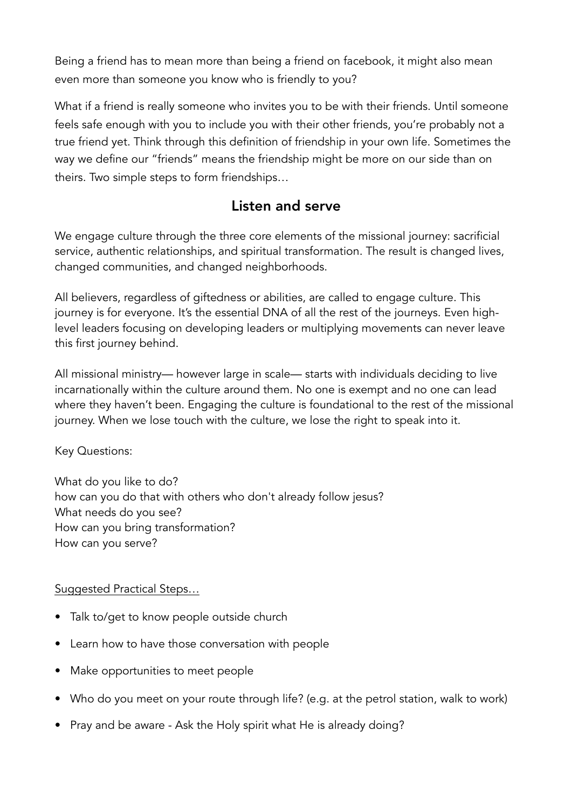Being a friend has to mean more than being a friend on facebook, it might also mean even more than someone you know who is friendly to you?

What if a friend is really someone who invites you to be with their friends. Until someone feels safe enough with you to include you with their other friends, you're probably not a true friend yet. Think through this definition of friendship in your own life. Sometimes the way we define our "friends" means the friendship might be more on our side than on theirs. Two simple steps to form friendships…

# Listen and serve

We engage culture through the three core elements of the missional journey: sacrificial service, authentic relationships, and spiritual transformation. The result is changed lives, changed communities, and changed neighborhoods.

All believers, regardless of giftedness or abilities, are called to engage culture. This journey is for everyone. It's the essential DNA of all the rest of the journeys. Even highlevel leaders focusing on developing leaders or multiplying movements can never leave this first journey behind.

All missional ministry— however large in scale— starts with individuals deciding to live incarnationally within the culture around them. No one is exempt and no one can lead where they haven't been. Engaging the culture is foundational to the rest of the missional journey. When we lose touch with the culture, we lose the right to speak into it.

Key Questions:

What do you like to do? how can you do that with others who don't already follow jesus? What needs do you see? How can you bring transformation? How can you serve?

# Suggested Practical Steps…

- Talk to/get to know people outside church
- Learn how to have those conversation with people
- Make opportunities to meet people
- Who do you meet on your route through life? (e.g. at the petrol station, walk to work)
- Pray and be aware Ask the Holy spirit what He is already doing?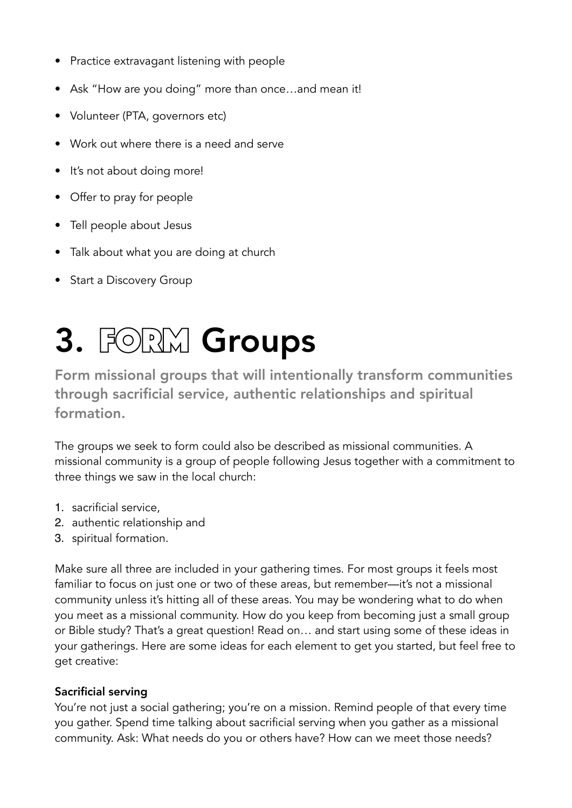- Practice extravagant listening with people
- Ask "How are you doing" more than once…and mean it!
- Volunteer (PTA, governors etc)
- Work out where there is a need and serve
- It's not about doing more!
- Offer to pray for people
- Tell people about Jesus
- Talk about what you are doing at church
- Start a Discovery Group

# 3. FORMGroups

Form missional groups that will intentionally transform communities through sacrificial service, authentic relationships and spiritual formation.

The groups we seek to form could also be described as missional communities. A missional community is a group of people following Jesus together with a commitment to three things we saw in the local church:

- 1. sacrificial service,
- 2. authentic relationship and
- 3. spiritual formation.

Make sure all three are included in your gathering times. For most groups it feels most familiar to focus on just one or two of these areas, but remember—it's not a missional community unless it's hitting all of these areas. You may be wondering what to do when you meet as a missional community. How do you keep from becoming just a small group or Bible study? That's a great question! Read on… and start using some of these ideas in your gatherings. Here are some ideas for each element to get you started, but feel free to get creative:

# Sacrificial serving

You're not just a social gathering; you're on a mission. Remind people of that every time you gather. Spend time talking about sacrificial serving when you gather as a missional community. Ask: What needs do you or others have? How can we meet those needs?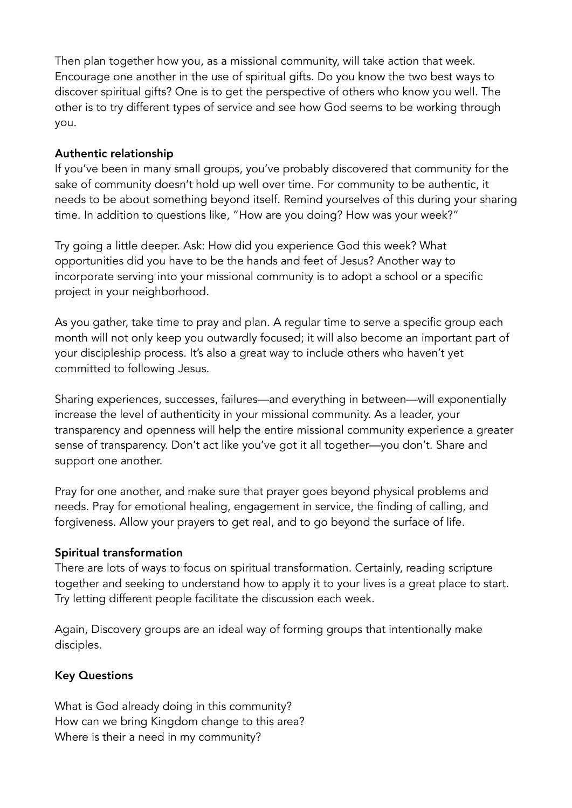Then plan together how you, as a missional community, will take action that week. Encourage one another in the use of spiritual gifts. Do you know the two best ways to discover spiritual gifts? One is to get the perspective of others who know you well. The other is to try different types of service and see how God seems to be working through you.

# Authentic relationship

If you've been in many small groups, you've probably discovered that community for the sake of community doesn't hold up well over time. For community to be authentic, it needs to be about something beyond itself. Remind yourselves of this during your sharing time. In addition to questions like, "How are you doing? How was your week?"

Try going a little deeper. Ask: How did you experience God this week? What opportunities did you have to be the hands and feet of Jesus? Another way to incorporate serving into your missional community is to adopt a school or a specific project in your neighborhood.

As you gather, take time to pray and plan. A regular time to serve a specific group each month will not only keep you outwardly focused; it will also become an important part of your discipleship process. It's also a great way to include others who haven't yet committed to following Jesus.

Sharing experiences, successes, failures—and everything in between—will exponentially increase the level of authenticity in your missional community. As a leader, your transparency and openness will help the entire missional community experience a greater sense of transparency. Don't act like you've got it all together—you don't. Share and support one another.

Pray for one another, and make sure that prayer goes beyond physical problems and needs. Pray for emotional healing, engagement in service, the finding of calling, and forgiveness. Allow your prayers to get real, and to go beyond the surface of life.

# Spiritual transformation

There are lots of ways to focus on spiritual transformation. Certainly, reading scripture together and seeking to understand how to apply it to your lives is a great place to start. Try letting different people facilitate the discussion each week.

Again, Discovery groups are an ideal way of forming groups that intentionally make disciples.

# Key Questions

What is God already doing in this community? How can we bring Kingdom change to this area? Where is their a need in my community?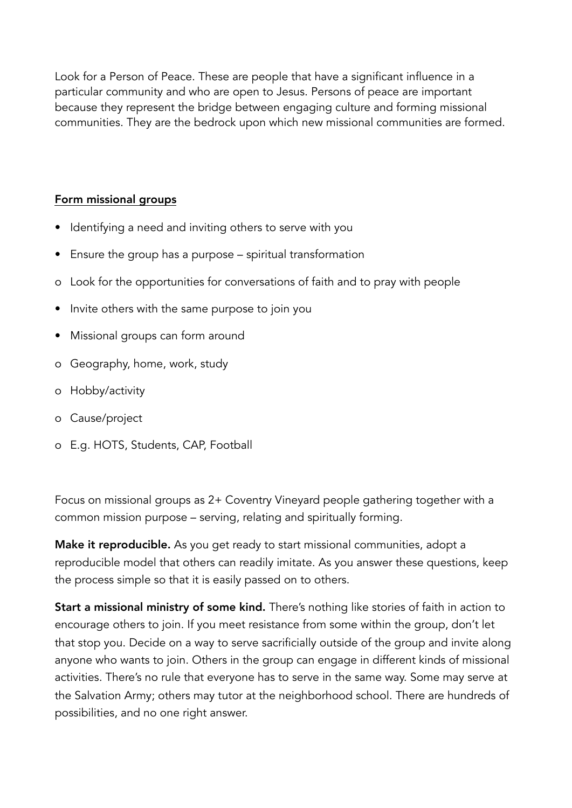Look for a Person of Peace. These are people that have a significant influence in a particular community and who are open to Jesus. Persons of peace are important because they represent the bridge between engaging culture and forming missional communities. They are the bedrock upon which new missional communities are formed.

# Form missional groups

- Identifying a need and inviting others to serve with you
- Ensure the group has a purpose spiritual transformation
- o Look for the opportunities for conversations of faith and to pray with people
- Invite others with the same purpose to join you
- Missional groups can form around
- o Geography, home, work, study
- o Hobby/activity
- o Cause/project
- o E.g. HOTS, Students, CAP, Football

Focus on missional groups as 2+ Coventry Vineyard people gathering together with a common mission purpose – serving, relating and spiritually forming.

Make it reproducible. As you get ready to start missional communities, adopt a reproducible model that others can readily imitate. As you answer these questions, keep the process simple so that it is easily passed on to others.

Start a missional ministry of some kind. There's nothing like stories of faith in action to encourage others to join. If you meet resistance from some within the group, don't let that stop you. Decide on a way to serve sacrificially outside of the group and invite along anyone who wants to join. Others in the group can engage in different kinds of missional activities. There's no rule that everyone has to serve in the same way. Some may serve at the Salvation Army; others may tutor at the neighborhood school. There are hundreds of possibilities, and no one right answer.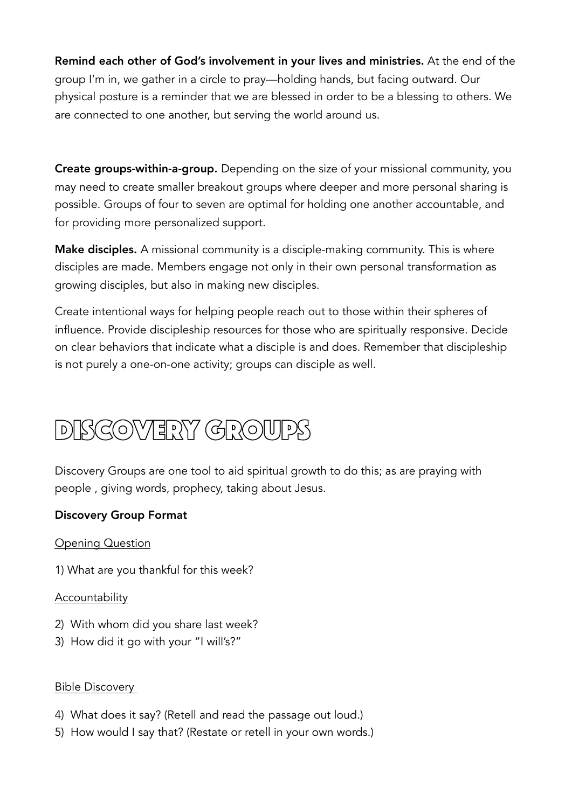Remind each other of God's involvement in your lives and ministries. At the end of the group I'm in, we gather in a circle to pray—holding hands, but facing outward. Our physical posture is a reminder that we are blessed in order to be a blessing to others. We are connected to one another, but serving the world around us.

Create groups-within-a-group. Depending on the size of your missional community, you may need to create smaller breakout groups where deeper and more personal sharing is possible. Groups of four to seven are optimal for holding one another accountable, and for providing more personalized support.

Make disciples. A missional community is a disciple-making community. This is where disciples are made. Members engage not only in their own personal transformation as growing disciples, but also in making new disciples.

Create intentional ways for helping people reach out to those within their spheres of influence. Provide discipleship resources for those who are spiritually responsive. Decide on clear behaviors that indicate what a disciple is and does. Remember that discipleship is not purely a one-on-one activity; groups can disciple as well.

# Discovery groups

Discovery Groups are one tool to aid spiritual growth to do this; as are praying with people , giving words, prophecy, taking about Jesus.

# Discovery Group Format

Opening Question

1) What are you thankful for this week?

# Accountability

- 2) With whom did you share last week?
- 3) How did it go with your "I will's?"

# Bible Discovery

- 4) What does it say? (Retell and read the passage out loud.)
- 5) How would I say that? (Restate or retell in your own words.)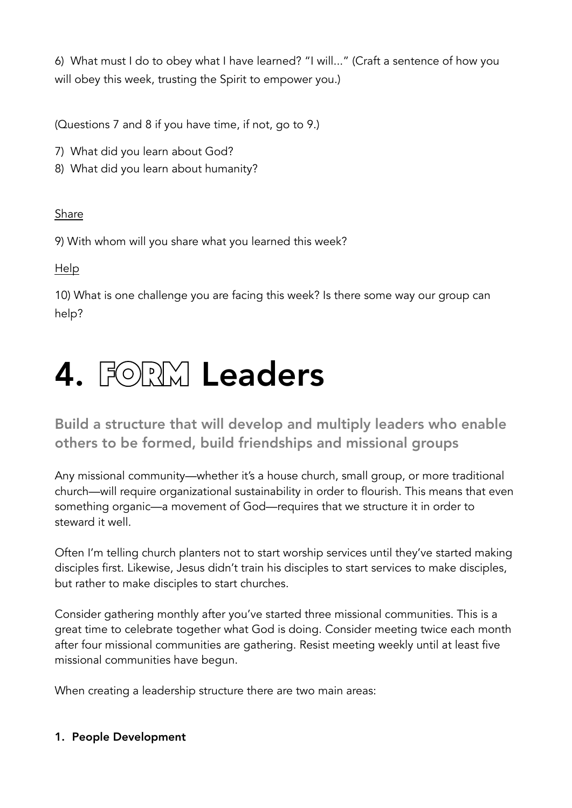6) What must I do to obey what I have learned? "I will..." (Craft a sentence of how you will obey this week, trusting the Spirit to empower you.)

(Questions 7 and 8 if you have time, if not, go to 9.)

- 7) What did you learn about God?
- 8) What did you learn about humanity?

# Share

9) With whom will you share what you learned this week?

Help

10) What is one challenge you are facing this week? Is there some way our group can help?

# 4. FORMLeaders

Build a structure that will develop and multiply leaders who enable others to be formed, build friendships and missional groups

Any missional community—whether it's a house church, small group, or more traditional church—will require organizational sustainability in order to flourish. This means that even something organic—a movement of God—requires that we structure it in order to steward it well.

Often I'm telling church planters not to start worship services until they've started making disciples first. Likewise, Jesus didn't train his disciples to start services to make disciples, but rather to make disciples to start churches.

Consider gathering monthly after you've started three missional communities. This is a great time to celebrate together what God is doing. Consider meeting twice each month after four missional communities are gathering. Resist meeting weekly until at least five missional communities have begun.

When creating a leadership structure there are two main areas:

# 1. People Development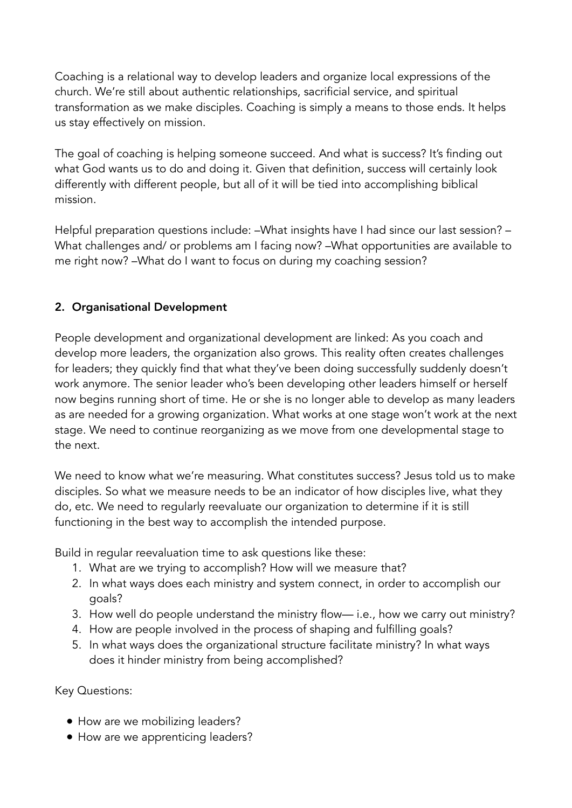Coaching is a relational way to develop leaders and organize local expressions of the church. We're still about authentic relationships, sacrificial service, and spiritual transformation as we make disciples. Coaching is simply a means to those ends. It helps us stay effectively on mission.

The goal of coaching is helping someone succeed. And what is success? It's finding out what God wants us to do and doing it. Given that definition, success will certainly look differently with different people, but all of it will be tied into accomplishing biblical mission.

Helpful preparation questions include: –What insights have I had since our last session? – What challenges and/ or problems am I facing now? –What opportunities are available to me right now? –What do I want to focus on during my coaching session?

# 2. Organisational Development

People development and organizational development are linked: As you coach and develop more leaders, the organization also grows. This reality often creates challenges for leaders; they quickly find that what they've been doing successfully suddenly doesn't work anymore. The senior leader who's been developing other leaders himself or herself now begins running short of time. He or she is no longer able to develop as many leaders as are needed for a growing organization. What works at one stage won't work at the next stage. We need to continue reorganizing as we move from one developmental stage to the next.

We need to know what we're measuring. What constitutes success? Jesus told us to make disciples. So what we measure needs to be an indicator of how disciples live, what they do, etc. We need to regularly reevaluate our organization to determine if it is still functioning in the best way to accomplish the intended purpose.

Build in regular reevaluation time to ask questions like these:

- 1. What are we trying to accomplish? How will we measure that?
- 2. In what ways does each ministry and system connect, in order to accomplish our goals?
- 3. How well do people understand the ministry flow— i.e., how we carry out ministry?
- 4. How are people involved in the process of shaping and fulfilling goals?
- 5. In what ways does the organizational structure facilitate ministry? In what ways does it hinder ministry from being accomplished?

Key Questions:

- How are we mobilizing leaders?
- How are we apprenticing leaders?